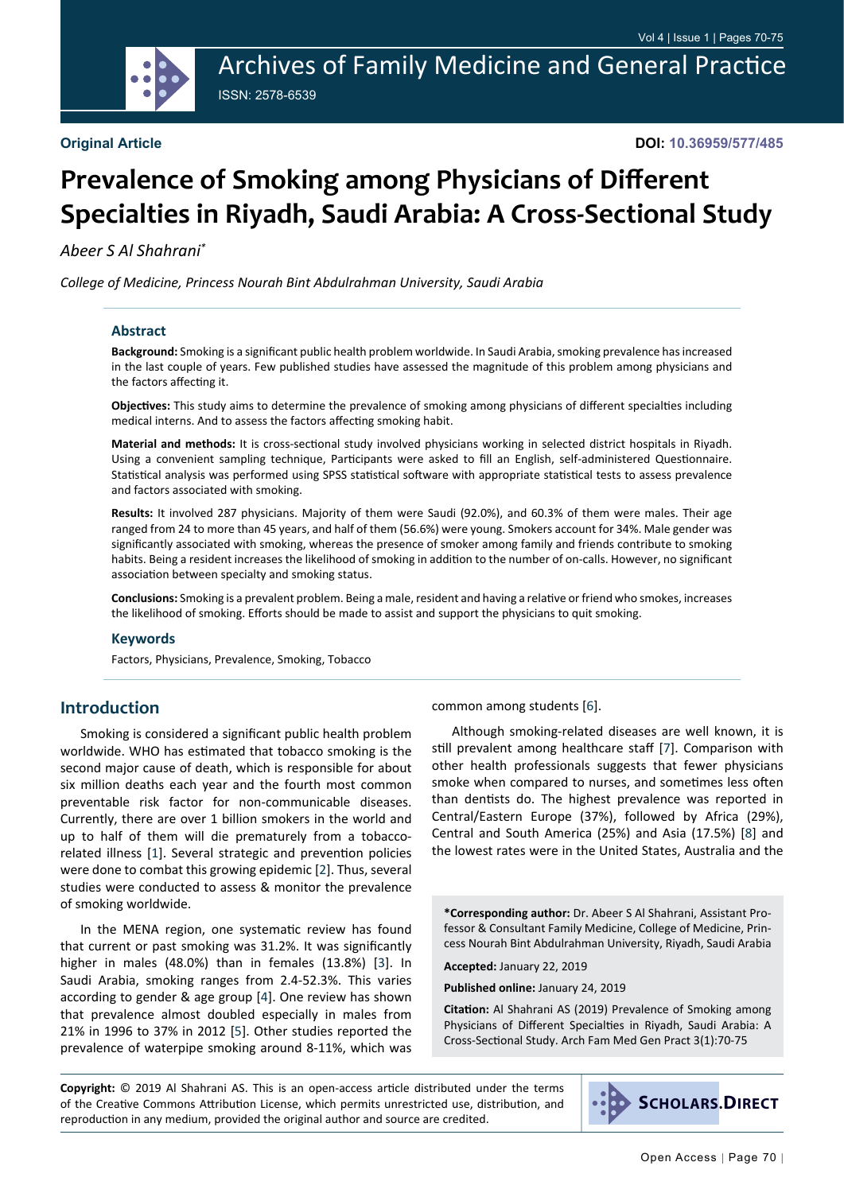Archives of Family Medicine and General Practice ISSN: 2578-6539

# **Prevalence of Smoking among Physicians of Different Specialties in Riyadh, Saudi Arabia: A Cross-Sectional Study**

*Abeer S Al Shahrani\**

*College of Medicine, Princess Nourah Bint Abdulrahman University, Saudi Arabia*

#### **Abstract**

**Background:** Smoking is a significant public health problem worldwide. In Saudi Arabia, smoking prevalence has increased in the last couple of years. Few published studies have assessed the magnitude of this problem among physicians and the factors affecting it.

**Objectives:** This study aims to determine the prevalence of smoking among physicians of different specialties including medical interns. And to assess the factors affecting smoking habit.

**Material and methods:** It is cross-sectional study involved physicians working in selected district hospitals in Riyadh. Using a convenient sampling technique, Participants were asked to fill an English, self-administered Questionnaire. Statistical analysis was performed using SPSS statistical software with appropriate statistical tests to assess prevalence and factors associated with smoking.

**Results:** It involved 287 physicians. Majority of them were Saudi (92.0%), and 60.3% of them were males. Their age ranged from 24 to more than 45 years, and half of them (56.6%) were young. Smokers account for 34%. Male gender was significantly associated with smoking, whereas the presence of smoker among family and friends contribute to smoking habits. Being a resident increases the likelihood of smoking in addition to the number of on-calls. However, no significant association between specialty and smoking status.

**Conclusions:** Smoking is a prevalent problem. Being a male, resident and having a relative or friend who smokes, increases the likelihood of smoking. Efforts should be made to assist and support the physicians to quit smoking.

#### **Keywords**

Factors, Physicians, Prevalence, Smoking, Tobacco

#### **Introduction**

Smoking is considered a significant public health problem worldwide. WHO has estimated that tobacco smoking is the second major cause of death, which is responsible for about six million deaths each year and the fourth most common preventable risk factor for non-communicable diseases. Currently, there are over 1 billion smokers in the world and up to half of them will die prematurely from a tobaccorelated illness [[1](#page-4-0)]. Several strategic and prevention policies were done to combat this growing epidemic [[2](#page-4-1)]. Thus, several studies were conducted to assess & monitor the prevalence of smoking worldwide.

In the MENA region, one systematic review has found that current or past smoking was 31.2%. It was significantly higher in males (48.0%) than in females (13.8%) [[3](#page-4-2)]. In Saudi Arabia, smoking ranges from 2.4-52.3%. This varies according to gender & age group [[4](#page-4-3)]. One review has shown that prevalence almost doubled especially in males from 21% in 1996 to 37% in 2012 [[5\]](#page-4-4). Other studies reported the prevalence of waterpipe smoking around 8-11%, which was common among students [[6](#page-4-5)].

Although smoking-related diseases are well known, it is still prevalent among healthcare staff [\[7](#page-4-6)]. Comparison with other health professionals suggests that fewer physicians smoke when compared to nurses, and sometimes less often than dentists do. The highest prevalence was reported in Central/Eastern Europe (37%), followed by Africa (29%), Central and South America (25%) and Asia (17.5%) [[8\]](#page-4-7) and the lowest rates were in the United States, Australia and the

**\*Corresponding author:** Dr. Abeer S Al Shahrani, Assistant Professor & Consultant Family Medicine, College of Medicine, Princess Nourah Bint Abdulrahman University, Riyadh, Saudi Arabia

**Accepted:** January 22, 2019

**Published online:** January 24, 2019

**Citation:** Al Shahrani AS (2019) Prevalence of Smoking among Physicians of Different Specialties in Riyadh, Saudi Arabia: A Cross-Sectional Study. Arch Fam Med Gen Pract 3(1):70-75

**Copyright:** © 2019 Al Shahrani AS. This is an open-access article distributed under the terms of the Creative Commons Attribution License, which permits unrestricted use, distribution, and reproduction in any medium, provided the original author and source are credited.

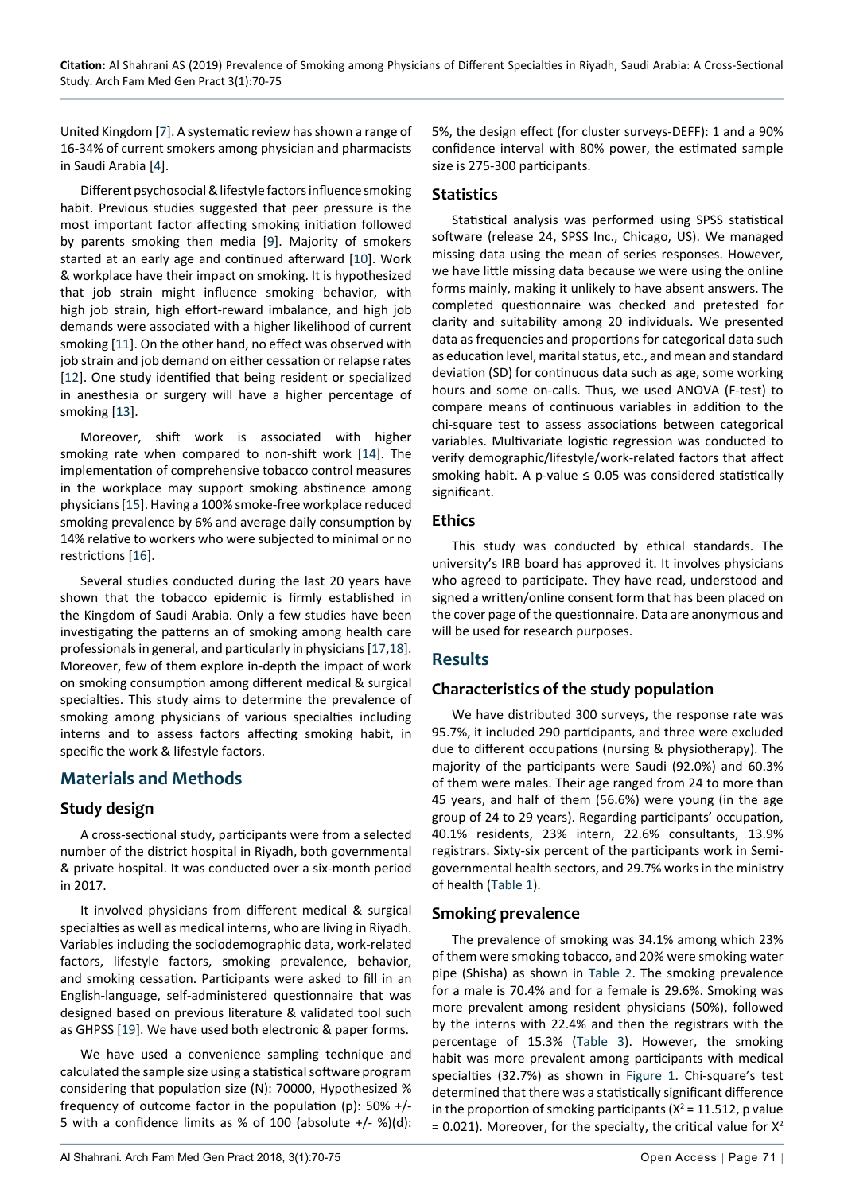United Kingdom [[7\]](#page-4-6). A systematic review has shown a range of 16-34% of current smokers among physician and pharmacists in Saudi Arabia [[4](#page-4-3)].

Different psychosocial & lifestyle factors influence smoking habit. Previous studies suggested that peer pressure is the most important factor affecting smoking initiation followed by parents smoking then media [[9](#page-4-8)]. Majority of smokers started at an early age and continued afterward [[10](#page-4-9)]. Work & workplace have their impact on smoking. It is hypothesized that job strain might influence smoking behavior, with high job strain, high effort-reward imbalance, and high job demands were associated with a higher likelihood of current smoking [[11](#page-4-10)]. On the other hand, no effect was observed with job strain and job demand on either cessation or relapse rates [[12](#page-4-11)]. One study identified that being resident or specialized in anesthesia or surgery will have a higher percentage of smoking [[13](#page-4-12)].

Moreover, shift work is associated with higher smoking rate when compared to non-shift work [\[14](#page-5-0)]. The implementation of comprehensive tobacco control measures in the workplace may support smoking abstinence among physicians [[15](#page-5-1)]. Having a 100% smoke-free workplace reduced smoking prevalence by 6% and average daily consumption by 14% relative to workers who were subjected to minimal or no restrictions [[16](#page-5-2)].

Several studies conducted during the last 20 years have shown that the tobacco epidemic is firmly established in the Kingdom of Saudi Arabia. Only a few studies have been investigating the patterns an of smoking among health care professionals in general, and particularly in physicians [\[17](#page-5-3),[18](#page-5-4)]. Moreover, few of them explore in-depth the impact of work on smoking consumption among different medical & surgical specialties. This study aims to determine the prevalence of smoking among physicians of various specialties including interns and to assess factors affecting smoking habit, in specific the work & lifestyle factors.

#### **Materials and Methods**

#### **Study design**

A cross-sectional study, participants were from a selected number of the district hospital in Riyadh, both governmental & private hospital. It was conducted over a six-month period in 2017.

It involved physicians from different medical & surgical specialties as well as medical interns, who are living in Riyadh. Variables including the sociodemographic data, work-related factors, lifestyle factors, smoking prevalence, behavior, and smoking cessation. Participants were asked to fill in an English-language, self-administered questionnaire that was designed based on previous literature & validated tool such as GHPSS [[19](#page-5-5)]. We have used both electronic & paper forms.

We have used a convenience sampling technique and calculated the sample size using a statistical software program considering that population size (N): 70000, Hypothesized % frequency of outcome factor in the population (p): 50% +/- 5 with a confidence limits as % of 100 (absolute +/- %)(d):

5%, the design effect (for cluster surveys-DEFF): 1 and a 90% confidence interval with 80% power, the estimated sample size is 275-300 participants.

#### **Statistics**

Statistical analysis was performed using SPSS statistical software (release 24, SPSS Inc., Chicago, US). We managed missing data using the mean of series responses. However, we have little missing data because we were using the online forms mainly, making it unlikely to have absent answers. The completed questionnaire was checked and pretested for clarity and suitability among 20 individuals. We presented data as frequencies and proportions for categorical data such as education level, marital status, etc., and mean and standard deviation (SD) for continuous data such as age, some working hours and some on-calls. Thus, we used ANOVA (F-test) to compare means of continuous variables in addition to the chi-square test to assess associations between categorical variables. Multivariate logistic regression was conducted to verify demographic/lifestyle/work-related factors that affect smoking habit. A p-value  $\leq$  0.05 was considered statistically significant.

#### **Ethics**

This study was conducted by ethical standards. The university's IRB board has approved it. It involves physicians who agreed to participate. They have read, understood and signed a written/online consent form that has been placed on the cover page of the questionnaire. Data are anonymous and will be used for research purposes.

## **Results**

#### **Characteristics of the study population**

We have distributed 300 surveys, the response rate was 95.7%, it included 290 participants, and three were excluded due to different occupations (nursing & physiotherapy). The majority of the participants were Saudi (92.0%) and 60.3% of them were males. Their age ranged from 24 to more than 45 years, and half of them (56.6%) were young (in the age group of 24 to 29 years). Regarding participants' occupation, 40.1% residents, 23% intern, 22.6% consultants, 13.9% registrars. Sixty-six percent of the participants work in Semigovernmental health sectors, and 29.7% works in the ministry of health ([Table 1](#page-2-0)).

#### **Smoking prevalence**

The prevalence of smoking was 34.1% among which 23% of them were smoking tobacco, and 20% were smoking water pipe (Shisha) as shown in [Table 2.](#page-2-1) The smoking prevalence for a male is 70.4% and for a female is 29.6%. Smoking was more prevalent among resident physicians (50%), followed by the interns with 22.4% and then the registrars with the percentage of 15.3% ([Table 3\)](#page-2-2). However, the smoking habit was more prevalent among participants with medical specialties (32.7%) as shown in [Figure 1](#page-3-0). Chi-square's test determined that there was a statistically significant difference in the proportion of smoking participants ( $X^2 = 11.512$ , p value  $= 0.021$ ). Moreover, for the specialty, the critical value for  $X^2$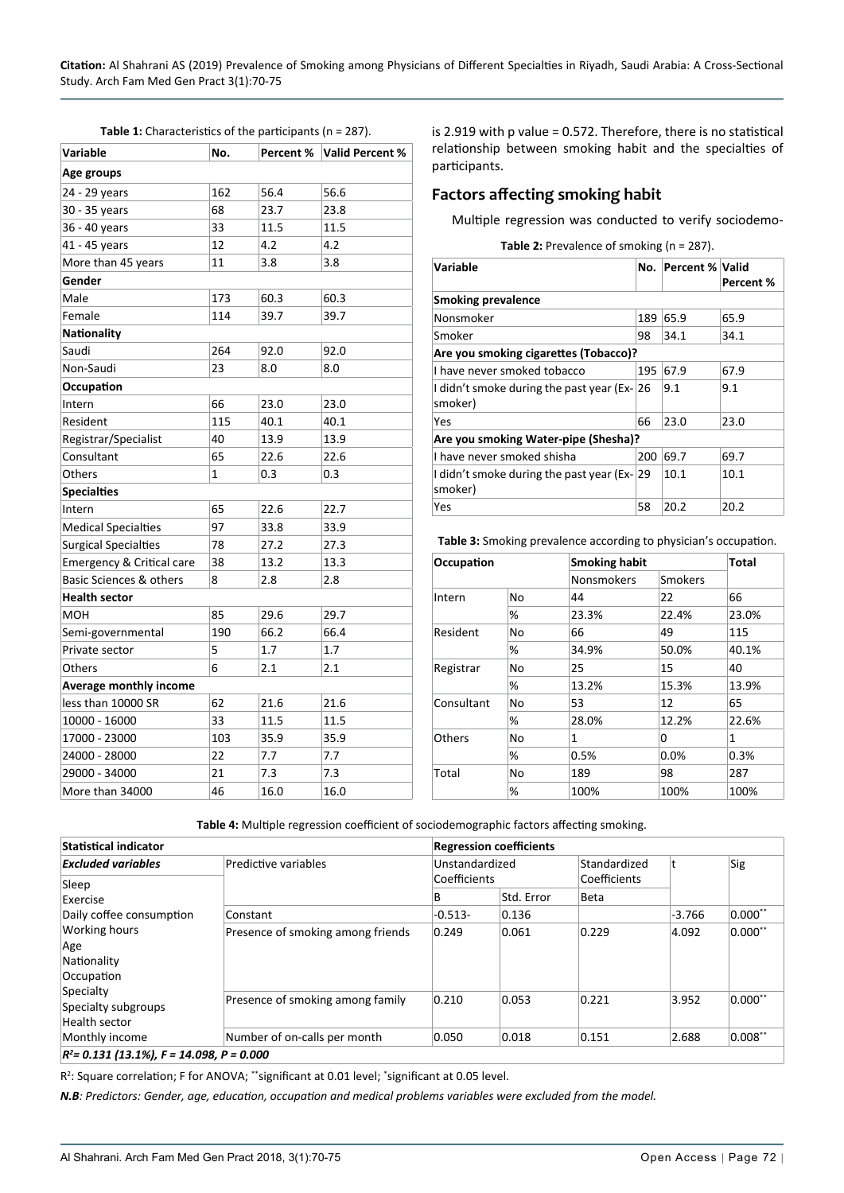<span id="page-2-0"></span>

| Variable                           | No. | Percent % | <b>Valid Percent %</b> |  |  |  |
|------------------------------------|-----|-----------|------------------------|--|--|--|
| Age groups                         |     |           |                        |  |  |  |
| 24 - 29 years                      | 162 | 56.4      | 56.6                   |  |  |  |
| 30 - 35 years                      | 68  | 23.7      | 23.8                   |  |  |  |
| 36 - 40 years                      | 33  | 11.5      | 11.5                   |  |  |  |
| 41 - 45 years                      | 12  | 4.2       | 4.2                    |  |  |  |
| More than 45 years                 | 11  | 3.8       | 3.8                    |  |  |  |
| Gender                             |     |           |                        |  |  |  |
| Male                               | 173 | 60.3      | 60.3                   |  |  |  |
| Female                             | 114 | 39.7      | 39.7                   |  |  |  |
| <b>Nationality</b>                 |     |           |                        |  |  |  |
| Saudi                              | 264 | 92.0      | 92.0                   |  |  |  |
| Non-Saudi                          | 23  | 8.0       | 8.0                    |  |  |  |
| Occupation                         |     |           |                        |  |  |  |
| Intern                             | 66  | 23.0      | 23.0                   |  |  |  |
| Resident                           | 115 | 40.1      | 40.1                   |  |  |  |
| Registrar/Specialist               | 40  | 13.9      | 13.9                   |  |  |  |
| Consultant                         | 65  | 22.6      | 22.6                   |  |  |  |
| Others                             | 1   | 0.3       | 0.3                    |  |  |  |
| <b>Specialties</b>                 |     |           |                        |  |  |  |
| Intern                             | 65  | 22.6      | 22.7                   |  |  |  |
| <b>Medical Specialties</b>         | 97  | 33.8      | 33.9                   |  |  |  |
| <b>Surgical Specialties</b>        | 78  | 27.2      | 27.3                   |  |  |  |
| Emergency & Critical care          | 38  | 13.2      | 13.3                   |  |  |  |
| <b>Basic Sciences &amp; others</b> | 8   | 2.8       | 2.8                    |  |  |  |
| <b>Health sector</b>               |     |           |                        |  |  |  |
| мон                                | 85  | 29.6      | 29.7                   |  |  |  |
| Semi-governmental                  | 190 | 66.2      | 66.4                   |  |  |  |
| Private sector                     | 5   | 1.7       | 1.7                    |  |  |  |
| Others                             | 6   | 2.1       | 2.1                    |  |  |  |
| <b>Average monthly income</b>      |     |           |                        |  |  |  |
| less than 10000 SR                 | 62  | 21.6      | 21.6                   |  |  |  |
| 10000 - 16000                      | 33  | 11.5      | 11.5                   |  |  |  |
| 17000 - 23000                      | 103 | 35.9      | 35.9                   |  |  |  |
| 24000 - 28000                      | 22  | 7.7       | 7.7                    |  |  |  |
| 29000 - 34000                      | 21  | 7.3       | 7.3                    |  |  |  |
| More than 34000                    | 46  | 16.0      | 16.0                   |  |  |  |

is 2.919 with p value = 0.572. Therefore, there is no statistical relationship between smoking habit and the specialties of participants.

#### **Factors affecting smoking habit**

Multiple regression was conducted to verify sociodemo-

<span id="page-2-1"></span>**Table 2:** Prevalence of smoking (n = 287).

| Variable<br>No.                                         |     | <b>Percent % Valid</b> | Percent % |  |  |  |  |
|---------------------------------------------------------|-----|------------------------|-----------|--|--|--|--|
| <b>Smoking prevalence</b>                               |     |                        |           |  |  |  |  |
| Nonsmoker                                               | 189 | 65.9                   | 65.9      |  |  |  |  |
| Smoker                                                  | 98  | 34.1                   | 34.1      |  |  |  |  |
| Are you smoking cigarettes (Tobacco)?                   |     |                        |           |  |  |  |  |
| I have never smoked tobacco                             | 195 | 67.9                   | 67.9      |  |  |  |  |
| I didn't smoke during the past year (Ex-126)<br>smoker) |     | 9.1                    | 9.1       |  |  |  |  |
| Yes                                                     | 66  | 23.0                   | 23.0      |  |  |  |  |
| Are you smoking Water-pipe (Shesha)?                    |     |                        |           |  |  |  |  |
| I have never smoked shisha                              | 200 | 69.7                   | 69.7      |  |  |  |  |
| I didn't smoke during the past year (Ex-129)<br>smoker) |     | 10.1                   | 10.1      |  |  |  |  |
| Yes                                                     | 58  | 20.2                   | 20.2      |  |  |  |  |

<span id="page-2-2"></span>**Table 3:** Smoking prevalence according to physician's occupation.

| Occupation |    |                   | <b>Smoking habit</b> |       |  |
|------------|----|-------------------|----------------------|-------|--|
|            |    | <b>Nonsmokers</b> | Smokers              |       |  |
| Intern     | No | 44                | 22                   | 66    |  |
|            | %  | 23.3%             | 22.4%                | 23.0% |  |
| Resident   | No | 66                | 49                   | 115   |  |
|            | %  | 34.9%             | 50.0%                | 40.1% |  |
| Registrar  | No | 25                | 15                   | 40    |  |
|            | %  | 13.2%             | 15.3%                | 13.9% |  |
| Consultant | No | 53                | 12                   | 65    |  |
|            | %  | 28.0%             | 12.2%                | 22.6% |  |
| Others     | No | 1                 | 0                    | 1     |  |
|            | ℅  | 0.5%              | 0.0%                 | 0.3%  |  |
| Total      | No | 189               | 98                   | 287   |  |
|            | %  | 100%              | 100%                 | 100%  |  |

<span id="page-2-3"></span>**Table 4:** Multiple regression coefficient of sociodemographic factors affecting smoking.

| <b>Statistical indicator</b>                                                                                         |                                   | <b>Regression coefficients</b> |            |                              |          |            |
|----------------------------------------------------------------------------------------------------------------------|-----------------------------------|--------------------------------|------------|------------------------------|----------|------------|
| <b>Excluded variables</b>                                                                                            | Predictive variables              | Unstandardized<br>Coefficients |            | Standardized<br>Coefficients |          | Sig        |
| Sleep<br>Exercise                                                                                                    |                                   | B                              | Std. Error | Beta                         |          |            |
| Daily coffee consumption                                                                                             | Constant                          | $-0.513-$                      | 0.136      |                              | $-3.766$ | $0.000**$  |
| <b>Working hours</b><br>Age<br>Nationality<br>Occupation<br>Specialty<br>Specialty subgroups<br><b>Health sector</b> | Presence of smoking among friends | 0.249                          | 0.061      | 0.229                        | 4.092    | $0.000**$  |
|                                                                                                                      | Presence of smoking among family  | 0.210                          | 0.053      | 0.221                        | 3.952    | $0.000$ ** |
| Monthly income                                                                                                       | Number of on-calls per month      | 0.050                          | 0.018      | 0.151                        | 2.688    | $0.008**$  |
| $R^2$ = 0.131 (13.1%), F = 14.098, P = 0.000                                                                         |                                   |                                |            |                              |          |            |

*R2 = 0.131 (13.1%), F = 14.098, P = 0.000*

R<sup>2</sup>: Square correlation; F for ANOVA; \*\*significant at 0.01 level; \*significant at 0.05 level.

*N.B: Predictors: Gender, age, education, occupation and medical problems variables were excluded from the model.*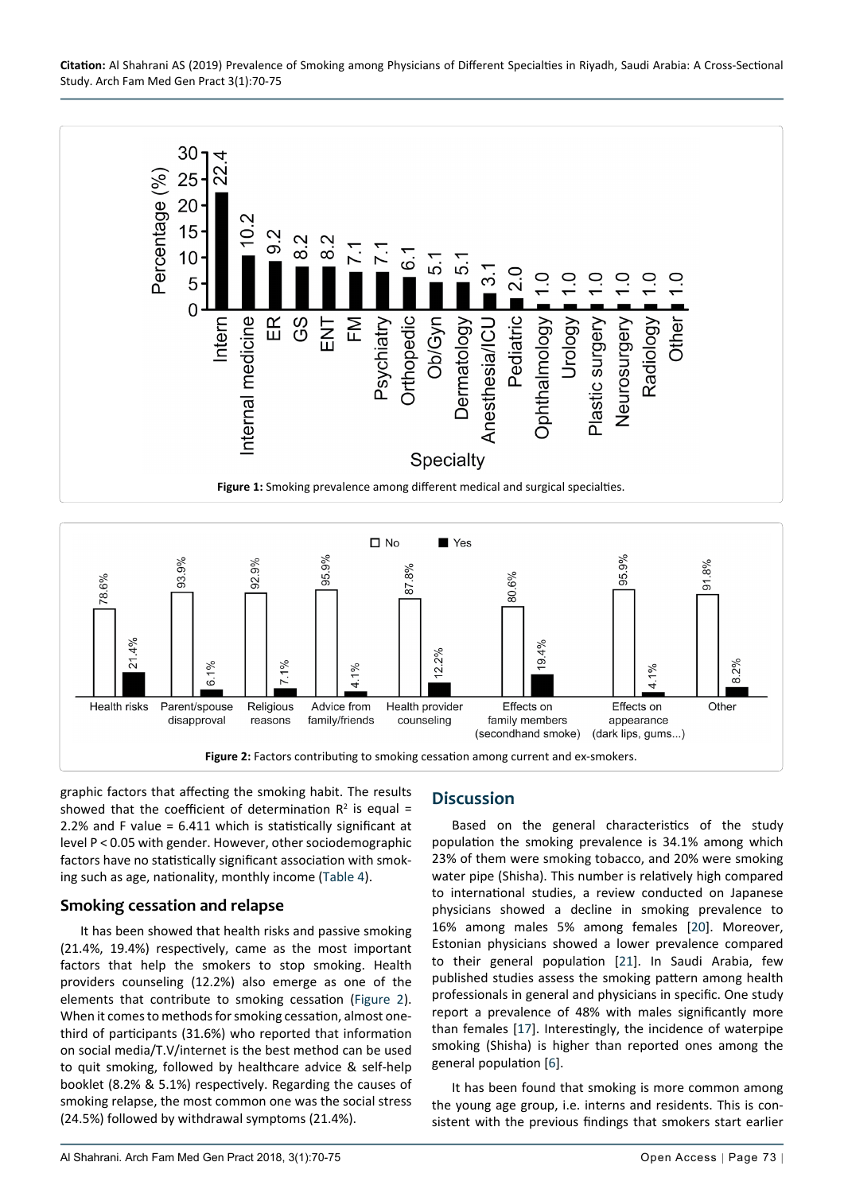**Citation:** Al Shahrani AS (2019) Prevalence of Smoking among Physicians of Different Specialties in Riyadh, Saudi Arabia: A Cross-Sectional Study. Arch Fam Med Gen Pract 3(1):70-75

<span id="page-3-0"></span>

<span id="page-3-1"></span>

graphic factors that affecting the smoking habit. The results showed that the coefficient of determination  $\mathbb{R}^2$  is equal = 2.2% and F value = 6.411 which is statistically significant at level P < 0.05 with gender. However, other sociodemographic factors have no statistically significant association with smoking such as age, nationality, monthly income ([Table 4](#page-2-3)).

#### **Smoking cessation and relapse**

It has been showed that health risks and passive smoking (21.4%, 19.4%) respectively, came as the most important factors that help the smokers to stop smoking. Health providers counseling (12.2%) also emerge as one of the elements that contribute to smoking cessation [\(Figure 2\)](#page-3-1). When it comes to methods for smoking cessation, almost onethird of participants (31.6%) who reported that information on social media/T.V/internet is the best method can be used to quit smoking, followed by healthcare advice & self-help booklet (8.2% & 5.1%) respectively. Regarding the causes of smoking relapse, the most common one was the social stress (24.5%) followed by withdrawal symptoms (21.4%).

## **Discussion**

Based on the general characteristics of the study population the smoking prevalence is 34.1% among which 23% of them were smoking tobacco, and 20% were smoking water pipe (Shisha). This number is relatively high compared to international studies, a review conducted on Japanese physicians showed a decline in smoking prevalence to 16% among males 5% among females [[20](#page-5-6)]. Moreover, Estonian physicians showed a lower prevalence compared to their general population [[21](#page-5-7)]. In Saudi Arabia, few published studies assess the smoking pattern among health professionals in general and physicians in specific. One study report a prevalence of 48% with males significantly more than females [\[17](#page-5-3)]. Interestingly, the incidence of waterpipe smoking (Shisha) is higher than reported ones among the general population [[6](#page-4-5)].

It has been found that smoking is more common among the young age group, i.e. interns and residents. This is consistent with the previous findings that smokers start earlier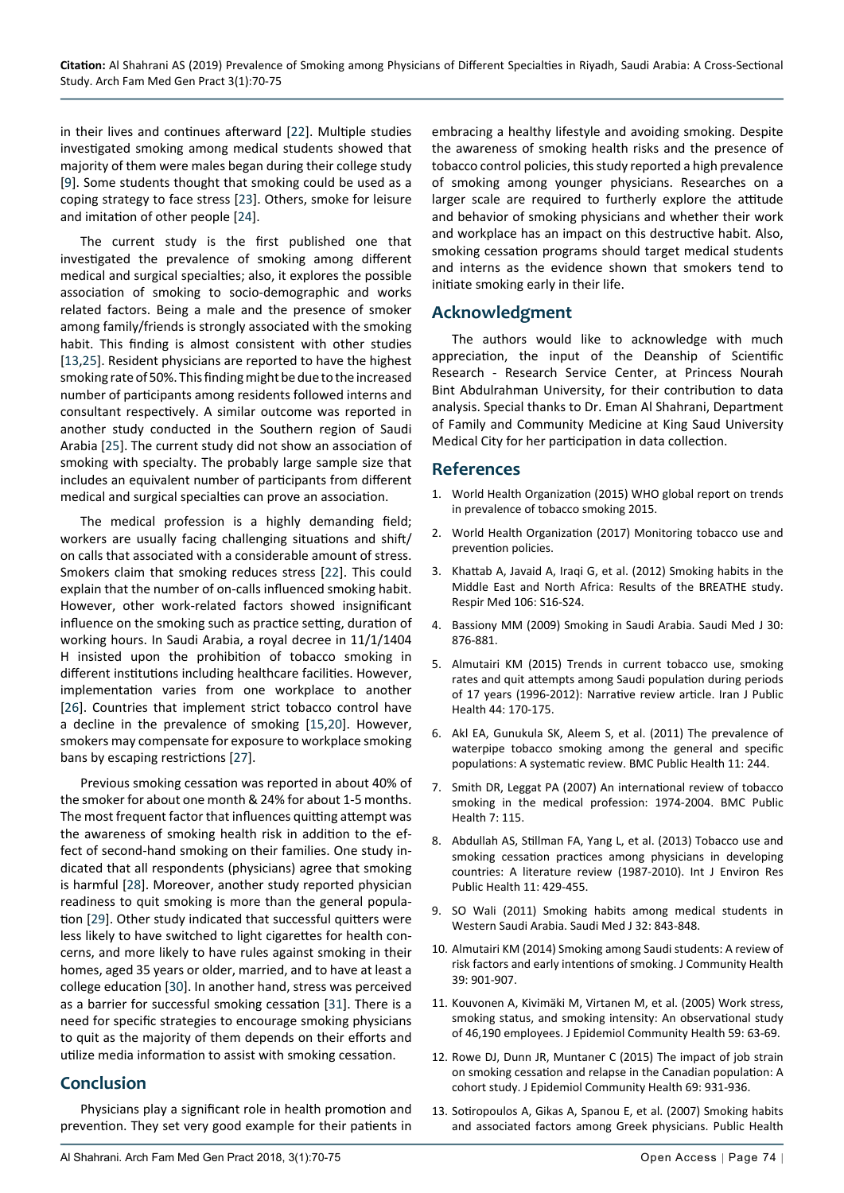in their lives and continues afterward [[22](#page-5-8)]. Multiple studies investigated smoking among medical students showed that majority of them were males began during their college study [[9](#page-4-8)]. Some students thought that smoking could be used as a coping strategy to face stress [\[23](#page-5-9)]. Others, smoke for leisure and imitation of other people [[24](#page-5-10)].

The current study is the first published one that investigated the prevalence of smoking among different medical and surgical specialties; also, it explores the possible association of smoking to socio-demographic and works related factors. Being a male and the presence of smoker among family/friends is strongly associated with the smoking habit. This finding is almost consistent with other studies [[13,](#page-4-12)[25](#page-5-11)]. Resident physicians are reported to have the highest smoking rate of 50%. This finding might be due to the increased number of participants among residents followed interns and consultant respectively. A similar outcome was reported in another study conducted in the Southern region of Saudi Arabia [\[25](#page-5-11)]. The current study did not show an association of smoking with specialty. The probably large sample size that includes an equivalent number of participants from different medical and surgical specialties can prove an association.

The medical profession is a highly demanding field; workers are usually facing challenging situations and shift/ on calls that associated with a considerable amount of stress. Smokers claim that smoking reduces stress [[22](#page-5-8)]. This could explain that the number of on-calls influenced smoking habit. However, other work-related factors showed insignificant influence on the smoking such as practice setting, duration of working hours. In Saudi Arabia, a royal decree in 11/1/1404 H insisted upon the prohibition of tobacco smoking in different institutions including healthcare facilities. However, implementation varies from one workplace to another [[26\]](#page-5-12). Countries that implement strict tobacco control have a decline in the prevalence of smoking [[15,](#page-5-1)[20](#page-5-6)]. However, smokers may compensate for exposure to workplace smoking bans by escaping restrictions [[27](#page-5-13)].

Previous smoking cessation was reported in about 40% of the smoker for about one month & 24% for about 1-5 months. The most frequent factor that influences quitting attempt was the awareness of smoking health risk in addition to the effect of second-hand smoking on their families. One study indicated that all respondents (physicians) agree that smoking is harmful [\[28\]](#page-5-14). Moreover, another study reported physician readiness to quit smoking is more than the general population [[29](#page-5-15)]. Other study indicated that successful quitters were less likely to have switched to light cigarettes for health concerns, and more likely to have rules against smoking in their homes, aged 35 years or older, married, and to have at least a college education [\[30](#page-5-16)]. In another hand, stress was perceived as a barrier for successful smoking cessation [[31](#page-5-17)]. There is a need for specific strategies to encourage smoking physicians to quit as the majority of them depends on their efforts and utilize media information to assist with smoking cessation.

#### **Conclusion**

Physicians play a significant role in health promotion and prevention. They set very good example for their patients in

embracing a healthy lifestyle and avoiding smoking. Despite the awareness of smoking health risks and the presence of tobacco control policies, this study reported a high prevalence of smoking among younger physicians. Researches on a larger scale are required to furtherly explore the attitude and behavior of smoking physicians and whether their work and workplace has an impact on this destructive habit. Also, smoking cessation programs should target medical students and interns as the evidence shown that smokers tend to initiate smoking early in their life.

#### **Acknowledgment**

The authors would like to acknowledge with much appreciation, the input of the Deanship of Scientific Research - Research Service Center, at Princess Nourah Bint Abdulrahman University, for their contribution to data analysis. Special thanks to Dr. Eman Al Shahrani, Department of Family and Community Medicine at King Saud University Medical City for her participation in data collection.

#### **References**

- <span id="page-4-0"></span>1. [World Health Organization \(2015\) WHO global report on trends](http://apps.who.int/iris/bitstream/handle/10665/156262/9789241564922_eng.pdf)  [in prevalence of tobacco smoking 2015.](http://apps.who.int/iris/bitstream/handle/10665/156262/9789241564922_eng.pdf)
- <span id="page-4-1"></span>2. [World Health Organization \(2017\) Monitoring tobacco use and](http://apps.who.int/iris/bitstream/handle/10665/255874/9789241512824-eng.pdf?)  [prevention policies.](http://apps.who.int/iris/bitstream/handle/10665/255874/9789241512824-eng.pdf?)
- <span id="page-4-2"></span>3. [Khattab A, Javaid A, Iraqi G, et al. \(2012\) Smoking habits in the](https://www.ncbi.nlm.nih.gov/pubmed/23290700)  [Middle East and North Africa: Results of the BREATHE study.](https://www.ncbi.nlm.nih.gov/pubmed/23290700)  [Respir Med 106: S16-S24.](https://www.ncbi.nlm.nih.gov/pubmed/23290700)
- <span id="page-4-3"></span>4. [Bassiony MM \(2009\) Smoking in Saudi Arabia. Saudi Med J 30:](https://www.ncbi.nlm.nih.gov/pubmed/19617999)  [876-881.](https://www.ncbi.nlm.nih.gov/pubmed/19617999)
- <span id="page-4-4"></span>5. [Almutairi KM \(2015\) Trends in current tobacco use, smoking](https://www.ncbi.nlm.nih.gov/pubmed/25905050)  [rates and quit attempts among Saudi population during periods](https://www.ncbi.nlm.nih.gov/pubmed/25905050)  [of 17 years \(1996-2012\): Narrative review article. Iran J Public](https://www.ncbi.nlm.nih.gov/pubmed/25905050)  [Health 44: 170-175.](https://www.ncbi.nlm.nih.gov/pubmed/25905050)
- <span id="page-4-5"></span>6. [Akl EA, Gunukula SK, Aleem S, et al. \(2011\) The prevalence of](https://www.ncbi.nlm.nih.gov/pubmed/21504559)  [waterpipe tobacco smoking among the general and specific](https://www.ncbi.nlm.nih.gov/pubmed/21504559)  [populations: A systematic review. BMC Public Health 11: 244.](https://www.ncbi.nlm.nih.gov/pubmed/21504559)
- <span id="page-4-6"></span>7. [Smith DR, Leggat PA \(2007\) An international review of tobacco](https://www.ncbi.nlm.nih.gov/pubmed/17578582)  [smoking in the medical profession: 1974-2004. BMC Public](https://www.ncbi.nlm.nih.gov/pubmed/17578582)  [Health 7: 115.](https://www.ncbi.nlm.nih.gov/pubmed/17578582)
- <span id="page-4-7"></span>8. [Abdullah AS, Stillman FA, Yang L, et al. \(2013\) Tobacco use and](https://www.ncbi.nlm.nih.gov/pubmed/24380976)  [smoking cessation practices among physicians in developing](https://www.ncbi.nlm.nih.gov/pubmed/24380976)  [countries: A literature review \(1987-2010\). Int J Environ Res](https://www.ncbi.nlm.nih.gov/pubmed/24380976)  [Public Health 11: 429-455.](https://www.ncbi.nlm.nih.gov/pubmed/24380976)
- <span id="page-4-8"></span>9. [SO Wali \(2011\) Smoking habits among medical students in](https://www.ncbi.nlm.nih.gov/pubmed/21858395)  [Western Saudi Arabia. Saudi Med J 32: 843-848.](https://www.ncbi.nlm.nih.gov/pubmed/21858395)
- <span id="page-4-9"></span>10. [Almutairi KM \(2014\) Smoking among Saudi students: A review of](https://www.ncbi.nlm.nih.gov/pubmed/24984600)  [risk factors and early intentions of smoking. J Community Health](https://www.ncbi.nlm.nih.gov/pubmed/24984600)  [39: 901-907.](https://www.ncbi.nlm.nih.gov/pubmed/24984600)
- <span id="page-4-10"></span>11. [Kouvonen A, Kivimäki M, Virtanen M, et al. \(2005\) Work stress,](https://www.ncbi.nlm.nih.gov/pubmed/15598729)  [smoking status, and smoking intensity: An observational study](https://www.ncbi.nlm.nih.gov/pubmed/15598729)  [of 46,190 employees. J Epidemiol Community Health 59: 63-69.](https://www.ncbi.nlm.nih.gov/pubmed/15598729)
- <span id="page-4-11"></span>12. [Rowe DJ, Dunn JR, Muntaner C \(2015\) The impact of job strain](https://www.ncbi.nlm.nih.gov/pubmed/25903755)  [on smoking cessation and relapse in the Canadian population: A](https://www.ncbi.nlm.nih.gov/pubmed/25903755)  [cohort study. J Epidemiol Community Health 69: 931-936.](https://www.ncbi.nlm.nih.gov/pubmed/25903755)
- <span id="page-4-12"></span>13. [Sotiropoulos A, Gikas A, Spanou E, et al. \(2007\) Smoking habits](https://www.ncbi.nlm.nih.gov/pubmed/17223144)  [and associated factors among Greek physicians. Public Health](https://www.ncbi.nlm.nih.gov/pubmed/17223144)